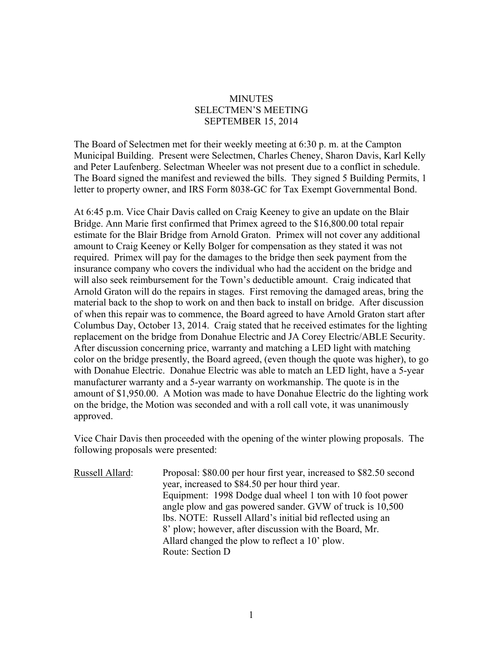## **MINUTES** SELECTMEN'S MEETING SEPTEMBER 15, 2014

The Board of Selectmen met for their weekly meeting at 6:30 p. m. at the Campton Municipal Building. Present were Selectmen, Charles Cheney, Sharon Davis, Karl Kelly and Peter Laufenberg. Selectman Wheeler was not present due to a conflict in schedule. The Board signed the manifest and reviewed the bills. They signed 5 Building Permits, 1 letter to property owner, and IRS Form 8038-GC for Tax Exempt Governmental Bond.

At 6:45 p.m. Vice Chair Davis called on Craig Keeney to give an update on the Blair Bridge. Ann Marie first confirmed that Primex agreed to the \$16,800.00 total repair estimate for the Blair Bridge from Arnold Graton. Primex will not cover any additional amount to Craig Keeney or Kelly Bolger for compensation as they stated it was not required. Primex will pay for the damages to the bridge then seek payment from the insurance company who covers the individual who had the accident on the bridge and will also seek reimbursement for the Town's deductible amount. Craig indicated that Arnold Graton will do the repairs in stages. First removing the damaged areas, bring the material back to the shop to work on and then back to install on bridge. After discussion of when this repair was to commence, the Board agreed to have Arnold Graton start after Columbus Day, October 13, 2014. Craig stated that he received estimates for the lighting replacement on the bridge from Donahue Electric and JA Corey Electric/ABLE Security. After discussion concerning price, warranty and matching a LED light with matching color on the bridge presently, the Board agreed, (even though the quote was higher), to go with Donahue Electric. Donahue Electric was able to match an LED light, have a 5-year manufacturer warranty and a 5-year warranty on workmanship. The quote is in the amount of \$1,950.00. A Motion was made to have Donahue Electric do the lighting work on the bridge, the Motion was seconded and with a roll call vote, it was unanimously approved.

Vice Chair Davis then proceeded with the opening of the winter plowing proposals. The following proposals were presented:

| Russell Allard: | Proposal: \$80.00 per hour first year, increased to \$82.50 second |
|-----------------|--------------------------------------------------------------------|
|                 | year, increased to \$84.50 per hour third year.                    |
|                 | Equipment: 1998 Dodge dual wheel 1 ton with 10 foot power          |
|                 | angle plow and gas powered sander. GVW of truck is 10,500          |
|                 | lbs. NOTE: Russell Allard's initial bid reflected using an         |
|                 | 8' plow; however, after discussion with the Board, Mr.             |
|                 | Allard changed the plow to reflect a 10' plow.                     |
|                 | Route: Section D                                                   |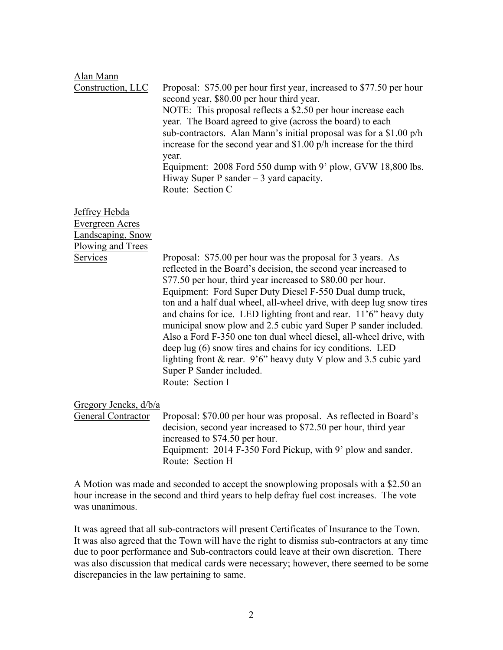## Alan Mann

Construction, LLC Proposal: \$75.00 per hour first year, increased to \$77.50 per hour second year, \$80.00 per hour third year. NOTE: This proposal reflects a \$2.50 per hour increase each year. The Board agreed to give (across the board) to each sub-contractors. Alan Mann's initial proposal was for a \$1.00 p/h increase for the second year and \$1.00 p/h increase for the third year. Equipment: 2008 Ford 550 dump with 9' plow, GVW 18,800 lbs. Hiway Super P sander  $-3$  yard capacity. Route: Section C

Jeffrey Hebda Evergreen Acres Landscaping, Snow Plowing and Trees

Services Proposal: \$75.00 per hour was the proposal for 3 years. As reflected in the Board's decision, the second year increased to \$77.50 per hour, third year increased to \$80.00 per hour. Equipment: Ford Super Duty Diesel F-550 Dual dump truck, ton and a half dual wheel, all-wheel drive, with deep lug snow tires and chains for ice. LED lighting front and rear. 11'6" heavy duty municipal snow plow and 2.5 cubic yard Super P sander included. Also a Ford F-350 one ton dual wheel diesel, all-wheel drive, with deep lug (6) snow tires and chains for icy conditions. LED lighting front & rear. 9'6" heavy duty V plow and 3.5 cubic yard Super P Sander included. Route: Section I

## Gregory Jencks, d/b/a

General Contractor Proposal: \$70.00 per hour was proposal. As reflected in Board's decision, second year increased to \$72.50 per hour, third year increased to \$74.50 per hour. Equipment: 2014 F-350 Ford Pickup, with 9' plow and sander. Route: Section H

A Motion was made and seconded to accept the snowplowing proposals with a \$2.50 an hour increase in the second and third years to help defray fuel cost increases. The vote was unanimous.

It was agreed that all sub-contractors will present Certificates of Insurance to the Town. It was also agreed that the Town will have the right to dismiss sub-contractors at any time due to poor performance and Sub-contractors could leave at their own discretion. There was also discussion that medical cards were necessary; however, there seemed to be some discrepancies in the law pertaining to same.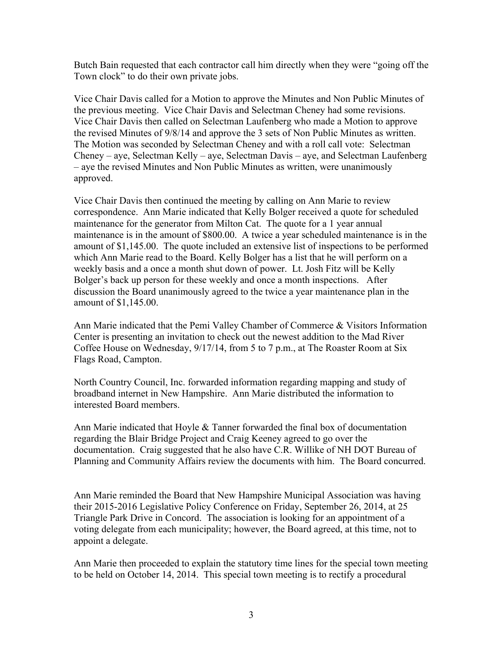Butch Bain requested that each contractor call him directly when they were "going off the Town clock" to do their own private jobs.

Vice Chair Davis called for a Motion to approve the Minutes and Non Public Minutes of the previous meeting. Vice Chair Davis and Selectman Cheney had some revisions. Vice Chair Davis then called on Selectman Laufenberg who made a Motion to approve the revised Minutes of 9/8/14 and approve the 3 sets of Non Public Minutes as written. The Motion was seconded by Selectman Cheney and with a roll call vote: Selectman Cheney – aye, Selectman Kelly – aye, Selectman Davis – aye, and Selectman Laufenberg – aye the revised Minutes and Non Public Minutes as written, were unanimously approved.

Vice Chair Davis then continued the meeting by calling on Ann Marie to review correspondence. Ann Marie indicated that Kelly Bolger received a quote for scheduled maintenance for the generator from Milton Cat. The quote for a 1 year annual maintenance is in the amount of \$800.00. A twice a year scheduled maintenance is in the amount of \$1,145.00. The quote included an extensive list of inspections to be performed which Ann Marie read to the Board. Kelly Bolger has a list that he will perform on a weekly basis and a once a month shut down of power. Lt. Josh Fitz will be Kelly Bolger's back up person for these weekly and once a month inspections. After discussion the Board unanimously agreed to the twice a year maintenance plan in the amount of \$1,145.00.

Ann Marie indicated that the Pemi Valley Chamber of Commerce & Visitors Information Center is presenting an invitation to check out the newest addition to the Mad River Coffee House on Wednesday, 9/17/14, from 5 to 7 p.m., at The Roaster Room at Six Flags Road, Campton.

North Country Council, Inc. forwarded information regarding mapping and study of broadband internet in New Hampshire. Ann Marie distributed the information to interested Board members.

Ann Marie indicated that Hoyle & Tanner forwarded the final box of documentation regarding the Blair Bridge Project and Craig Keeney agreed to go over the documentation. Craig suggested that he also have C.R. Willike of NH DOT Bureau of Planning and Community Affairs review the documents with him. The Board concurred.

Ann Marie reminded the Board that New Hampshire Municipal Association was having their 2015-2016 Legislative Policy Conference on Friday, September 26, 2014, at 25 Triangle Park Drive in Concord. The association is looking for an appointment of a voting delegate from each municipality; however, the Board agreed, at this time, not to appoint a delegate.

Ann Marie then proceeded to explain the statutory time lines for the special town meeting to be held on October 14, 2014. This special town meeting is to rectify a procedural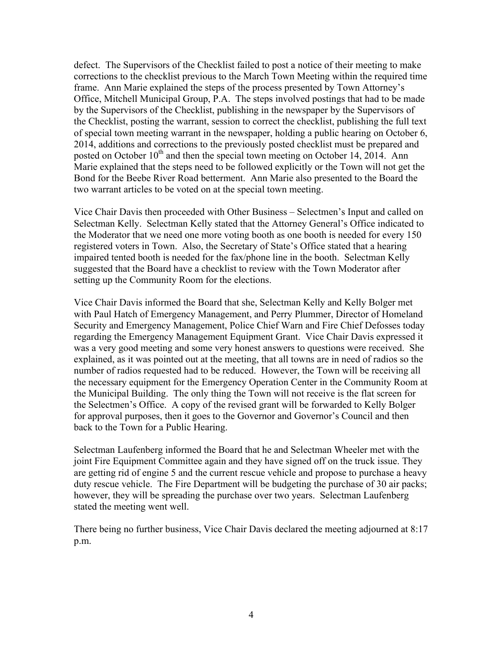defect. The Supervisors of the Checklist failed to post a notice of their meeting to make corrections to the checklist previous to the March Town Meeting within the required time frame. Ann Marie explained the steps of the process presented by Town Attorney's Office, Mitchell Municipal Group, P.A. The steps involved postings that had to be made by the Supervisors of the Checklist, publishing in the newspaper by the Supervisors of the Checklist, posting the warrant, session to correct the checklist, publishing the full text of special town meeting warrant in the newspaper, holding a public hearing on October 6, 2014, additions and corrections to the previously posted checklist must be prepared and posted on October  $10^{th}$  and then the special town meeting on October 14, 2014. Ann Marie explained that the steps need to be followed explicitly or the Town will not get the Bond for the Beebe River Road betterment. Ann Marie also presented to the Board the two warrant articles to be voted on at the special town meeting.

Vice Chair Davis then proceeded with Other Business – Selectmen's Input and called on Selectman Kelly. Selectman Kelly stated that the Attorney General's Office indicated to the Moderator that we need one more voting booth as one booth is needed for every 150 registered voters in Town. Also, the Secretary of State's Office stated that a hearing impaired tented booth is needed for the fax/phone line in the booth. Selectman Kelly suggested that the Board have a checklist to review with the Town Moderator after setting up the Community Room for the elections.

Vice Chair Davis informed the Board that she, Selectman Kelly and Kelly Bolger met with Paul Hatch of Emergency Management, and Perry Plummer, Director of Homeland Security and Emergency Management, Police Chief Warn and Fire Chief Defosses today regarding the Emergency Management Equipment Grant. Vice Chair Davis expressed it was a very good meeting and some very honest answers to questions were received. She explained, as it was pointed out at the meeting, that all towns are in need of radios so the number of radios requested had to be reduced. However, the Town will be receiving all the necessary equipment for the Emergency Operation Center in the Community Room at the Municipal Building. The only thing the Town will not receive is the flat screen for the Selectmen's Office. A copy of the revised grant will be forwarded to Kelly Bolger for approval purposes, then it goes to the Governor and Governor's Council and then back to the Town for a Public Hearing.

Selectman Laufenberg informed the Board that he and Selectman Wheeler met with the joint Fire Equipment Committee again and they have signed off on the truck issue. They are getting rid of engine 5 and the current rescue vehicle and propose to purchase a heavy duty rescue vehicle. The Fire Department will be budgeting the purchase of 30 air packs; however, they will be spreading the purchase over two years. Selectman Laufenberg stated the meeting went well.

There being no further business, Vice Chair Davis declared the meeting adjourned at 8:17 p.m.